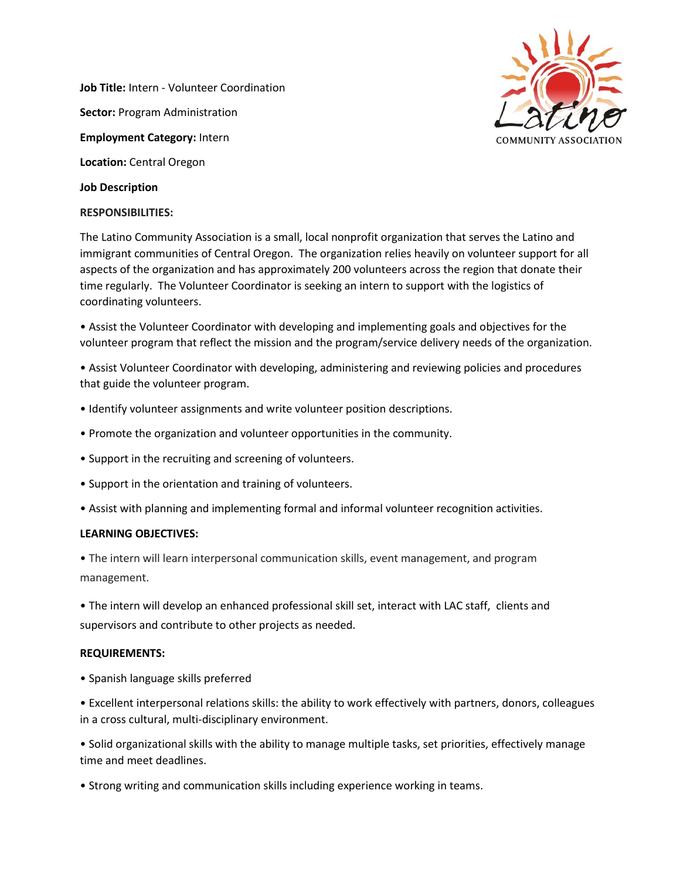**Job Title:** Intern - Volunteer Coordination **Sector:** Program Administration **Employment Category:** Intern **Location:** Central Oregon



# **Job Description**

### **RESPONSIBILITIES:**

The Latino Community Association is a small, local nonprofit organization that serves the Latino and immigrant communities of Central Oregon. The organization relies heavily on volunteer support for all aspects of the organization and has approximately 200 volunteers across the region that donate their time regularly. The Volunteer Coordinator is seeking an intern to support with the logistics of coordinating volunteers.

• Assist the Volunteer Coordinator with developing and implementing goals and objectives for the volunteer program that reflect the mission and the program/service delivery needs of the organization.

• Assist Volunteer Coordinator with developing, administering and reviewing policies and procedures that guide the volunteer program.

- Identify volunteer assignments and write volunteer position descriptions.
- Promote the organization and volunteer opportunities in the community.
- Support in the recruiting and screening of volunteers.
- Support in the orientation and training of volunteers.
- Assist with planning and implementing formal and informal volunteer recognition activities.

## **LEARNING OBJECTIVES:**

• The intern will learn interpersonal communication skills, event management, and program management.

• The intern will develop an enhanced professional skill set, interact with LAC staff, clients and supervisors and contribute to other projects as needed.

## **REQUIREMENTS:**

• Spanish language skills preferred

• Excellent interpersonal relations skills: the ability to work effectively with partners, donors, colleagues in a cross cultural, multi-disciplinary environment.

• Solid organizational skills with the ability to manage multiple tasks, set priorities, effectively manage time and meet deadlines.

• Strong writing and communication skills including experience working in teams.